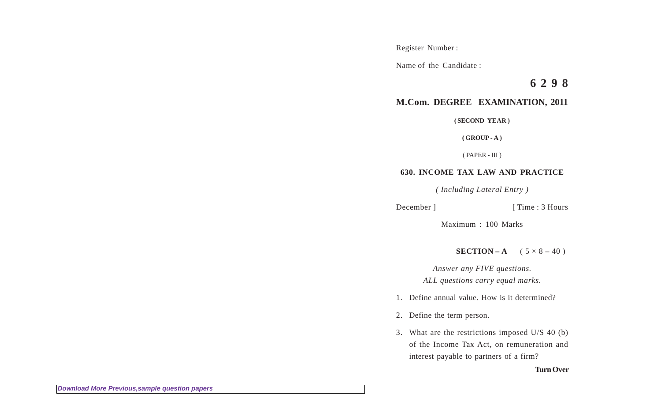Register Number :

Name of the Candidate :

**6 2 9 8**

## **M.Com. DEGREE EXAMINATION, 2011**

**( SECOND YEAR )**

**( GROUP - A )**

( PAPER - III )

## **630. INCOME TAX LAW AND PRACTICE**

*( Including Lateral Entry )*

```
December ] [ Time : 3 Hours
```
Maximum : 100 Marks

**SECTION – A**  $(5 \times 8 - 40)$ 

*Answer any FIVE questions. ALL questions carry equal marks.*

1. Define annual value. How is it determined?

2. Define the term person.

3. What are the restrictions imposed U/S 40 (b) of the Income Tax Act, on remuneration and interest payable to partners of a firm?

**Turn Over**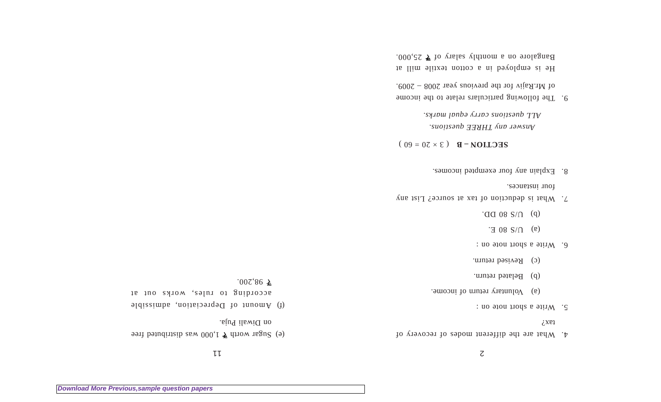$\zeta$ 

- 4. What are the different modes of recovery of  $i$ xei
- $5.$  Write a short note on :
- $\alpha$  Voluntary return of income.
- (b) Belated return.
- (c) Revised return.
- 6. Write a short note on :
- $\Gamma$  (a) U/S 80 E.
- $J \cdot Q \cdot Q \cdot Q \cdot S \cdot Q \cdot Q \cdot Q$
- $\Lambda$ . What is deduction of tax at source? List any four instances.
- 8. Explain any four exempted incomes.

 $\textbf{SECLIOM} - \textbf{B} \quad (\text{ } 3 \times 50 = 00)$ 

*Answer any THREE questions. ALL questions carry equal marks.*

9. The following particulars relate to the income of Mr.Rajiv for the previous year 2008 – 2009.

He is employed in a cotton textile mill at Bangalore on a monthly salary of  $\overline{z}$  25,000.

 $L L$ 

- 1,000 was month  $\geq$  1,000 was distributed free on Diwali Puja.
- (f) Amount of Depreciation, admissible according to rules, works out at
- 
- $007,86 \pm 0.00$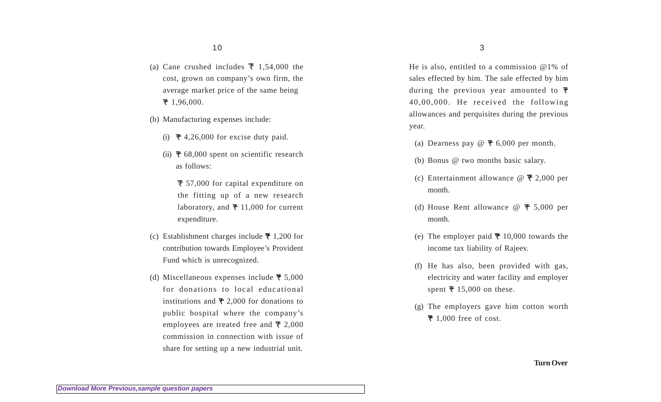- (a) Cane crushed includes  $\bar{z}$  1,54,000 the cost, grown on company's own firm, the average market price of the same being  $\bar{z}$  1,96,000.
- (b) Manufacturing expenses include:
	- (i)  $\overline{z}$  4,26,000 for excise duty paid.
	- (ii)  $\overline{\tau}$  68,000 spent on scientific research as follows:
		- 57,000 for capital expenditure on the fitting up of a new research laboratory, and  $\bar{x}$  11,000 for current expenditure.
- (c) Establishment charges include  $\overline{\tau}$  1,200 for contribution towards Employee's Provident Fund which is unrecognized.
- (d) Miscellaneous expenses include  $\bar{\tau}$  5,000 for donations to local educational institutions and  $\bar{\tau}$  2,000 for donations to public hospital where the company's employees are treated free and  $\bar{\tau}$  2,000 commission in connection with issue of share for setting up a new industrial unit.

He is also, entitled to a commission @1% of sales effected by him. The sale effected by him during the previous year amounted to  $\bar{\tau}$ 40,00,000. He received the following allowances and perquisites during the previous year.

- (a) Dearness pay  $\omega \neq 6,000$  per month.
- (b) Bonus @ two months basic salary.
- (c) Entertainment allowance  $\omega \neq 2,000$  per month.
- (d) House Rent allowance  $\mathcal{Q}$   $\overline{\tau}$  5,000 per month.
- (e) The employer paid  $\bar{\tau}$  10,000 towards the income tax liability of Rajeev.
- (f) He has also, been provided with gas, electricity and water facility and employer spent  $\bar{x}$  15,000 on these.
- (g) The employers gave him cotton worth  $\overline{\tau}$  1,000 free of cost.

**Turn Over**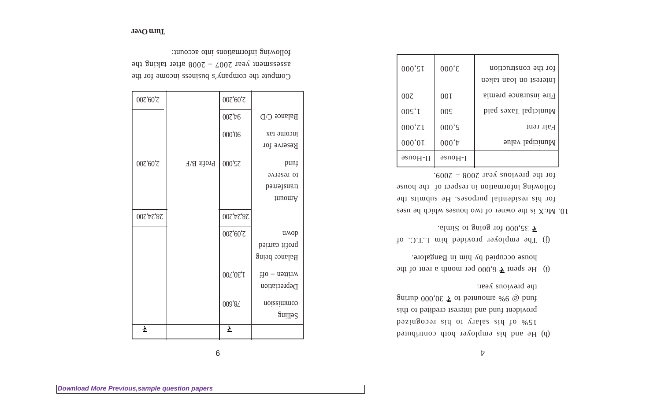$\boldsymbol{\mathcal{V}}$ 

- (h) He and his employer both contributed 15% of his salary to his recognized provident fund and interest credited to this guinh  $000,05 \leq \text{or}$  behaviour  $\%6$   $\text{or}$  bund the previous year.
- 6.000 per  $\overline{5}$  b, 000 per month a rent of the spent of the spent of the spent of the spent of the spent of the spent of the spent of the spent of the spent of the spent of the spent of the spent of the spent of the sp house occupied by him in Bangalore.
- (j) The employer provided him L.T.C. of .almik of gaiog to  $000, \zeta \zeta$

10. Mr.X is the owner of two houses which he uses for his residential purposes. He submits the following information in respect of the house for the previous year 2008 – 2009.

| 000'SI           | $000 \text{°}$       | for the construction<br>Interest on loan taken |
|------------------|----------------------|------------------------------------------------|
| 00 <sub>z</sub>  | 00I                  | Fire insurance premia                          |
| 00S <sup>1</sup> | 00 <sup>S</sup>      | bisq zexsT laqioinuM                           |
| $000^{\circ}$ ZI | $000 \text{'s}$      | Fair rent                                      |
| 000,01           | $000^{\text{t}}$     | Municipal value                                |
| $əsnoH-II$       | asno <sub>H</sub> -I |                                                |
|                  |                      |                                                |

| 007'60'Z  |                            | 007'60'Z                              |                      |
|-----------|----------------------------|---------------------------------------|----------------------|
|           |                            | $00\mathcal{C}^{\dagger}\mathcal{V}6$ | Balance C/D          |
|           |                            | 000'06                                | income tax           |
|           |                            |                                       | Reserve for          |
| 007'60'Z  | $H\backslash H$ if<br>iord | 000'SZ                                | punj                 |
|           |                            |                                       | 10 IGSGLAG           |
|           |                            |                                       | transferred          |
|           |                            |                                       | <i>a</i> nomA        |
| 007'77'87 |                            | 007'77'87                             |                      |
|           |                            | 007'60'Z                              | имор                 |
|           |                            |                                       | profit carried       |
|           |                            |                                       | <b>Balance being</b> |
|           |                            | 00L'0ε'I                              | $H_0$ – nettinw      |
|           |                            |                                       | Depreciation         |
|           |                            | 009'8L                                | roissimmoo           |
|           |                            |                                       | Suillə2              |
| ₹         |                            | $\overline{\mathbf{z}}$               |                      |
|           |                            |                                       |                      |

9

Compute the company's business income for the assessment year  $2002 - 2008$  after taking the following informations into account: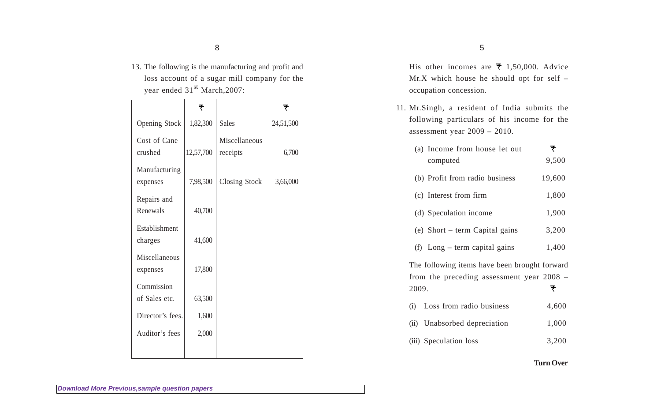13. The following is the manufacturing and profit and loss account of a sugar mill company for the year ended 31<sup>st</sup> March, 2007:

|                             | ₹         |                           | ₹         |
|-----------------------------|-----------|---------------------------|-----------|
| <b>Opening Stock</b>        | 1,82,300  | <b>Sales</b>              | 24,51,500 |
| Cost of Cane<br>crushed     | 12,57,700 | Miscellaneous<br>receipts | 6,700     |
| Manufacturing<br>expenses   | 7,98,500  | Closing Stock             | 3,66,000  |
| Repairs and<br>Renewals     | 40,700    |                           |           |
| Establishment<br>charges    | 41,600    |                           |           |
| Miscellaneous<br>expenses   | 17,800    |                           |           |
| Commission<br>of Sales etc. | 63,500    |                           |           |
| Director's fees.            | 1,600     |                           |           |
| Auditor's fees              | 2,000     |                           |           |
|                             |           |                           |           |

His other incomes are  $\bar{x}$  1,50,000. Advice Mr.X which house he should opt for self – occupation concession.

11. Mr.Singh, a resident of India submits the following particulars of his income for the assessment year 2009 – 2010.

|       | (a) Income from house let out<br>computed                                                    | ₹<br>9,500 |
|-------|----------------------------------------------------------------------------------------------|------------|
|       | (b) Profit from radio business                                                               | 19,600     |
|       | (c) Interest from firm                                                                       | 1,800      |
|       | (d) Speculation income                                                                       | 1,900      |
|       | (e) Short – term Capital gains                                                               | 3,200      |
|       | (f) $Long - term capital gains$                                                              | 1,400      |
| 2009. | The following items have been brought forward<br>from the preceding assessment year $2008 -$ | ₹          |
| (i)   | Loss from radio business                                                                     | 4,600      |
|       | (ii) Unabsorbed depreciation                                                                 | 1,000      |
|       | (iii) Speculation loss                                                                       | 3,200      |

## **Turn Over**